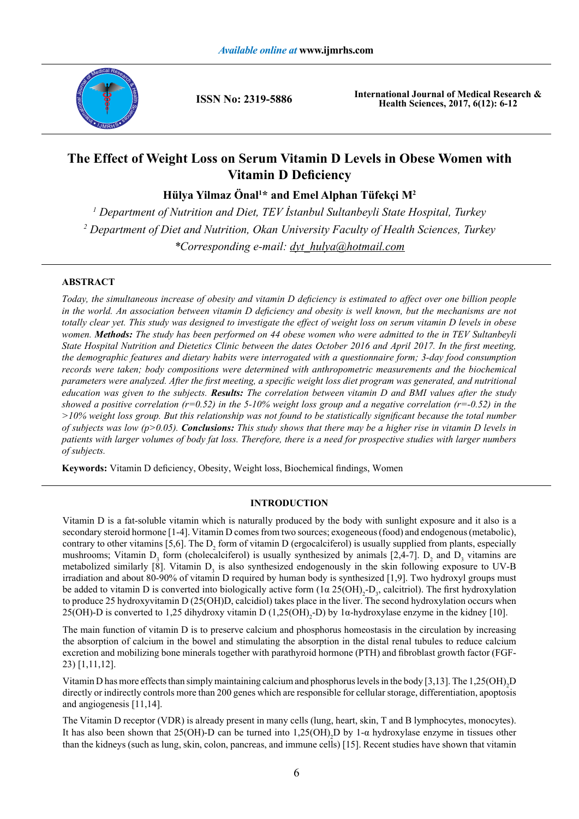

**ISSN No: 2319-5886**

**International Journal of Medical Research & Health Sciences, 2017, 6(12): 6-12**

# **The Effect of Weight Loss on Serum Vitamin D Levels in Obese Women with Vitamin D Deficiency**

**Hülya Yilmaz Önal<sup>1</sup> \* and Emel Alphan Tüfekçi M2**

*1 Department of Nutrition and Diet, TEV İstanbul Sultanbeyli State Hospital, Turkey 2 Department of Diet and Nutrition, Okan University Faculty of Health Sciences, Turkey \*Corresponding e-mail: dyt\_hulya@hotmail.com*

# **ABSTRACT**

*Today, the simultaneous increase of obesity and vitamin D deficiency is estimated to affect over one billion people*  in the world. An association between vitamin D deficiency and obesity is well known, but the mechanisms are not *totally clear yet. This study was designed to investigate the effect of weight loss on serum vitamin D levels in obese women. Methods: The study has been performed on 44 obese women who were admitted to the in TEV Sultanbeyli State Hospital Nutrition and Dietetics Clinic between the dates October 2016 and April 2017. In the first meeting, the demographic features and dietary habits were interrogated with a questionnaire form; 3-day food consumption records were taken; body compositions were determined with anthropometric measurements and the biochemical parameters were analyzed. After the first meeting, a specific weight loss diet program was generated, and nutritional education was given to the subjects. Results: The correlation between vitamin D and BMI values after the study showed a positive correlation (r=0.52) in the 5-10% weight loss group and a negative correlation (r=-0.52) in the >10% weight loss group. But this relationship was not found to be statistically significant because the total number of subjects was low (p>0.05). Conclusions: This study shows that there may be a higher rise in vitamin D levels in patients with larger volumes of body fat loss. Therefore, there is a need for prospective studies with larger numbers of subjects.*

**Keywords:** Vitamin D deficiency, Obesity, Weight loss, Biochemical findings, Women

# **INTRODUCTION**

Vitamin D is a fat-soluble vitamin which is naturally produced by the body with sunlight exposure and it also is a secondary steroid hormone [1-4]. Vitamin D comes from two sources; exogeneous (food) and endogenous (metabolic), contrary to other vitamins [5,6]. The  $D_2$  form of vitamin D (ergocalciferol) is usually supplied from plants, especially mushrooms; Vitamin  $D_3$  form (cholecalciferol) is usually synthesized by animals [2,4-7].  $D_2$  and  $D_3$  vitamins are metabolized similarly [8]. Vitamin  $D_3$  is also synthesized endogenously in the skin following exposure to UV-B irradiation and about 80-90% of vitamin D required by human body is synthesized [1,9]. Two hydroxyl groups must be added to vitamin D is converted into biologically active form  $(1\alpha 25(OH)_{2} - D_{3}$ , calcitriol). The first hydroxylation to produce 25 hydroxyvitamin D (25(OH)D, calcidiol) takes place in the liver. The second hydroxylation occurs when 25(OH)-D is converted to 1,25 dihydroxy vitamin D (1,25(OH)<sub>2</sub>-D) by 1α-hydroxylase enzyme in the kidney [10].

The main function of vitamin D is to preserve calcium and phosphorus homeostasis in the circulation by increasing the absorption of calcium in the bowel and stimulating the absorption in the distal renal tubules to reduce calcium excretion and mobilizing bone minerals together with parathyroid hormone (PTH) and fibroblast growth factor (FGF-23) [1,11,12].

Vitamin D has more effects than simply maintaining calcium and phosphorus levels in the body [3,13]. The  $1,25(OH)_{2}D$ directly or indirectly controls more than 200 genes which are responsible for cellular storage, differentiation, apoptosis and angiogenesis [11,14].

The Vitamin D receptor (VDR) is already present in many cells (lung, heart, skin, T and B lymphocytes, monocytes). It has also been shown that 25(OH)-D can be turned into  $1,25(OH)$ <sub>2</sub>D by 1- $\alpha$  hydroxylase enzyme in tissues other than the kidneys (such as lung, skin, colon, pancreas, and immune cells) [15]. Recent studies have shown that vitamin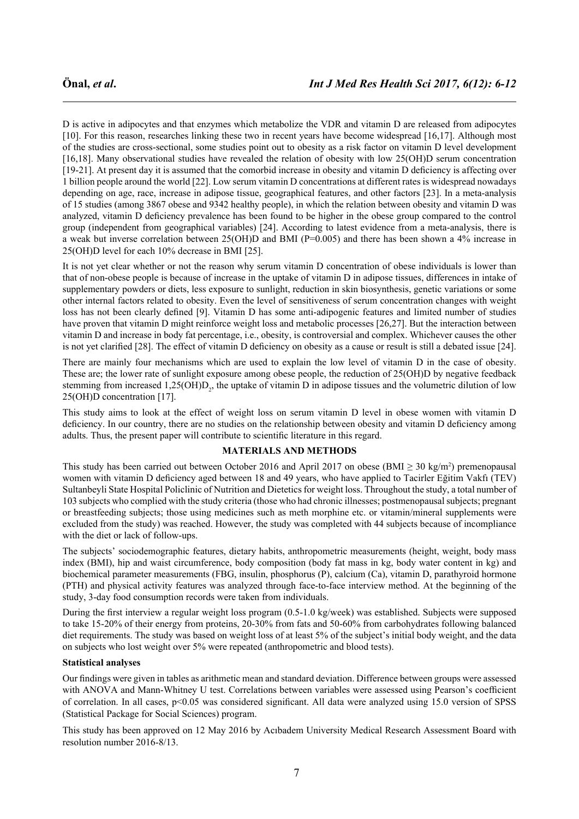D is active in adipocytes and that enzymes which metabolize the VDR and vitamin D are released from adipocytes [10]. For this reason, researches linking these two in recent years have become widespread [16,17]. Although most of the studies are cross-sectional, some studies point out to obesity as a risk factor on vitamin D level development [16,18]. Many observational studies have revealed the relation of obesity with low 25(OH)D serum concentration [19-21]. At present day it is assumed that the comorbid increase in obesity and vitamin D deficiency is affecting over 1 billion people around the world [22]. Low serum vitamin D concentrations at different rates is widespread nowadays depending on age, race, increase in adipose tissue, geographical features, and other factors [23]. In a meta-analysis of 15 studies (among 3867 obese and 9342 healthy people), in which the relation between obesity and vitamin D was analyzed, vitamin D deficiency prevalence has been found to be higher in the obese group compared to the control group (independent from geographical variables) [24]. According to latest evidence from a meta-analysis, there is a weak but inverse correlation between 25(OH)D and BMI (P=0.005) and there has been shown a 4% increase in 25(OH)D level for each 10% decrease in BMI [25].

It is not yet clear whether or not the reason why serum vitamin D concentration of obese individuals is lower than that of non-obese people is because of increase in the uptake of vitamin D in adipose tissues, differences in intake of supplementary powders or diets, less exposure to sunlight, reduction in skin biosynthesis, genetic variations or some other internal factors related to obesity. Even the level of sensitiveness of serum concentration changes with weight loss has not been clearly defined [9]. Vitamin D has some anti-adipogenic features and limited number of studies have proven that vitamin D might reinforce weight loss and metabolic processes [26,27]. But the interaction between vitamin D and increase in body fat percentage, i.e., obesity, is controversial and complex. Whichever causes the other is not yet clarified [28]. The effect of vitamin D deficiency on obesity as a cause or result is still a debated issue [24].

There are mainly four mechanisms which are used to explain the low level of vitamin D in the case of obesity. These are; the lower rate of sunlight exposure among obese people, the reduction of 25(OH)D by negative feedback stemming from increased  $1,25(OH)D_2$ , the uptake of vitamin D in adipose tissues and the volumetric dilution of low 25(OH)D concentration [17].

This study aims to look at the effect of weight loss on serum vitamin D level in obese women with vitamin D deficiency. In our country, there are no studies on the relationship between obesity and vitamin D deficiency among adults. Thus, the present paper will contribute to scientific literature in this regard.

# **MATERIALS AND METHODS**

This study has been carried out between October 2016 and April 2017 on obese (BMI  $\geq$  30 kg/m<sup>2</sup>) premenopausal women with vitamin D deficiency aged between 18 and 49 years, who have applied to Tacirler Eğitim Vakfı (TEV) Sultanbeyli State Hospital Policlinic of Nutrition and Dietetics for weight loss. Throughout the study, a total number of 103 subjects who complied with the study criteria (those who had chronic illnesses; postmenopausal subjects; pregnant or breastfeeding subjects; those using medicines such as meth morphine etc. or vitamin/mineral supplements were excluded from the study) was reached. However, the study was completed with 44 subjects because of incompliance with the diet or lack of follow-ups.

The subjects' sociodemographic features, dietary habits, anthropometric measurements (height, weight, body mass index (BMI), hip and waist circumference, body composition (body fat mass in kg, body water content in kg) and biochemical parameter measurements (FBG, insulin, phosphorus (P), calcium (Ca), vitamin D, parathyroid hormone (PTH) and physical activity features was analyzed through face-to-face interview method. At the beginning of the study, 3-day food consumption records were taken from individuals.

During the first interview a regular weight loss program (0.5-1.0 kg/week) was established. Subjects were supposed to take 15-20% of their energy from proteins, 20-30% from fats and 50-60% from carbohydrates following balanced diet requirements. The study was based on weight loss of at least 5% of the subject's initial body weight, and the data on subjects who lost weight over 5% were repeated (anthropometric and blood tests).

### **Statistical analyses**

Our findings were given in tables as arithmetic mean and standard deviation. Difference between groups were assessed with ANOVA and Mann-Whitney U test. Correlations between variables were assessed using Pearson's coefficient of correlation. In all cases, p<0.05 was considered significant. All data were analyzed using 15.0 version of SPSS (Statistical Package for Social Sciences) program.

This study has been approved on 12 May 2016 by Acıbadem University Medical Research Assessment Board with resolution number 2016-8/13.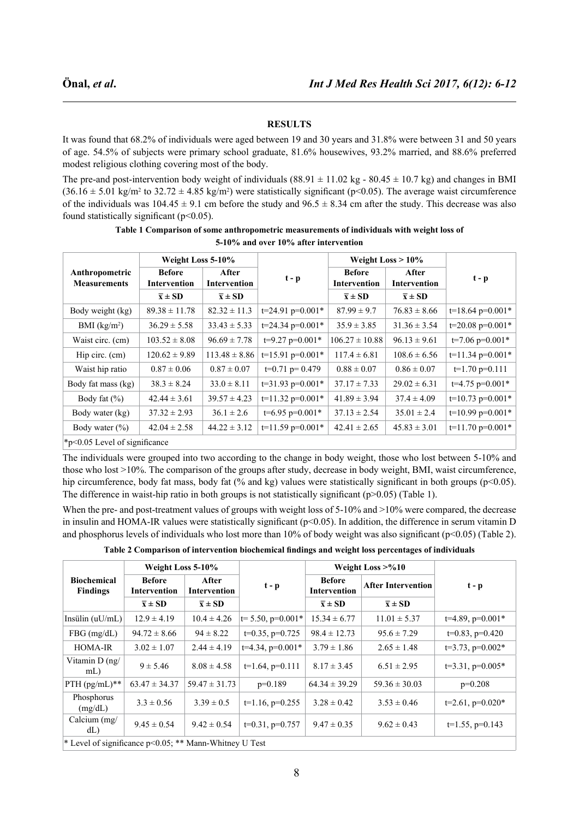# **RESULTS**

It was found that 68.2% of individuals were aged between 19 and 30 years and 31.8% were between 31 and 50 years of age. 54.5% of subjects were primary school graduate, 81.6% housewives, 93.2% married, and 88.6% preferred modest religious clothing covering most of the body.

The pre-and post-intervention body weight of individuals  $(88.91 \pm 11.02 \text{ kg} - 80.45 \pm 10.7 \text{ kg})$  and changes in BMI  $(36.16 \pm 5.01 \text{ kg/m}^2 \text{ to } 32.72 \pm 4.85 \text{ kg/m}^2)$  were statistically significant (p<0.05). The average waist circumference of the individuals was  $104.45 \pm 9.1$  cm before the study and  $96.5 \pm 8.34$  cm after the study. This decrease was also found statistically significant  $(p<0.05)$ .

| Anthropometric<br><b>Measurements</b> | Weight Loss 5-10%                    |                              |                    | Weight Loss $> 10\%$                 |                              |                    |  |
|---------------------------------------|--------------------------------------|------------------------------|--------------------|--------------------------------------|------------------------------|--------------------|--|
|                                       | <b>Before</b><br><b>Intervention</b> | After<br><b>Intervention</b> | $t - p$            | <b>Before</b><br><b>Intervention</b> | After<br><b>Intervention</b> | $t - p$            |  |
|                                       | $\overline{x} \pm SD$                | $\bar{x} \pm SD$             |                    | $\overline{x} \pm SD$                | $\overline{x} \pm SD$        |                    |  |
| Body weight (kg)                      | $89.38 \pm 11.78$                    | $82.32 \pm 11.3$             | $t=24.91$ p=0.001* | $87.99 \pm 9.7$                      | $76.83 \pm 8.66$             | $t=18.64$ p=0.001* |  |
| BMI $(kg/m2)$                         | $36.29 \pm 5.58$                     | $33.43 \pm 5.33$             | $t=24.34$ p=0.001* | $35.9 \pm 3.85$                      | $31.36 \pm 3.54$             | $t=20.08$ p=0.001* |  |
| Waist circ. (cm)                      | $103.52 \pm 8.08$                    | $96.69 \pm 7.78$             | $t=9.27$ p=0.001*  | $106.27 \pm 10.88$                   | $96.13 \pm 9.61$             | $t=7.06$ p=0.001*  |  |
| Hip circ. $(cm)$                      | $120.62 \pm 9.89$                    | $113.48 \pm 8.86$            | $t=15.91$ p=0.001* | $117.4 \pm 6.81$                     | $108.6 \pm 6.56$             | $t=11.34$ p=0.001* |  |
| Waist hip ratio                       | $0.87 \pm 0.06$                      | $0.87 \pm 0.07$              | $t=0.71$ p= 0.479  | $0.88 \pm 0.07$                      | $0.86 \pm 0.07$              | $t=1.70$ p=0.111   |  |
| Body fat mass (kg)                    | $38.3 \pm 8.24$                      | $33.0 \pm 8.11$              | $t=31.93$ p=0.001* | $37.17 \pm 7.33$                     | $29.02 \pm 6.31$             | $t=4.75$ p=0.001*  |  |
| Body fat $(\% )$                      | $42.44 \pm 3.61$                     | $39.57 \pm 4.23$             | $t=11.32$ p=0.001* | $41.89 \pm 3.94$                     | $37.4 \pm 4.09$              | $t=10.73$ p=0.001* |  |
| Body water (kg)                       | $37.32 \pm 2.93$                     | $36.1 \pm 2.6$               | $t=6.95$ p=0.001*  | $37.13 \pm 2.54$                     | $35.01 \pm 2.4$              | $t=10.99$ p=0.001* |  |
| Body water $(\% )$                    | $42.04 \pm 2.58$                     | $44.22 \pm 3.12$             | $t=11.59$ p=0.001* | $42.41 \pm 2.65$                     | $45.83 \pm 3.01$             | $t=11.70$ p=0.001* |  |
| $*_{p<0.05}$ Level of significance    |                                      |                              |                    |                                      |                              |                    |  |

**Table 1 Comparison of some anthropometric measurements of individuals with weight loss of 5-10% and over 10% after intervention**

The individuals were grouped into two according to the change in body weight, those who lost between 5-10% and those who lost >10%. The comparison of the groups after study, decrease in body weight, BMI, waist circumference, hip circumference, body fat mass, body fat (% and kg) values were statistically significant in both groups (p<0.05). The difference in waist-hip ratio in both groups is not statistically significant (p>0.05) (Table 1).

When the pre- and post-treatment values of groups with weight loss of 5-10% and >10% were compared, the decrease in insulin and HOMA-IR values were statistically significant (p<0.05). In addition, the difference in serum vitamin D and phosphorus levels of individuals who lost more than 10% of body weight was also significant (p<0.05) (Table 2).

| Table 2 Comparison of intervention biochemical findings and weight loss percentages of individuals |  |  |
|----------------------------------------------------------------------------------------------------|--|--|
|                                                                                                    |  |  |

| <b>Biochemical</b><br><b>Findings</b>                  | Weight Loss 5-10%             |                              |                       | Weight Loss $> 0.10$                 |                           |                       |  |
|--------------------------------------------------------|-------------------------------|------------------------------|-----------------------|--------------------------------------|---------------------------|-----------------------|--|
|                                                        | <b>Before</b><br>Intervention | After<br><b>Intervention</b> | $t - p$               | <b>Before</b><br><b>Intervention</b> | <b>After Intervention</b> | $t - p$               |  |
|                                                        | $\bar{x} \pm SD$              | $\overline{x} \pm SD$        |                       | $\bar{x} \pm SD$                     | $\bar{x} \pm SD$          |                       |  |
| Insülin $(uU/mL)$                                      | $12.9 \pm 4.19$               | $10.4 \pm 4.26$              | $t=$ 5.50, p=0.001*   | $15.34 \pm 6.77$                     | $11.01 \pm 5.37$          | $t=4.89$ , $p=0.001*$ |  |
| $FBG$ (mg/dL)                                          | $94.72 \pm 8.66$              | $94 \pm 8.22$                | $t=0.35$ , $p=0.725$  | $98.4 \pm 12.73$                     | $95.6 \pm 7.29$           | $t=0.83$ , $p=0.420$  |  |
| <b>HOMA-IR</b>                                         | $3.02 \pm 1.07$               | $2.44 \pm 4.19$              | $t=4.34$ , $p=0.001*$ | $3.79 \pm 1.86$                      | $2.65 \pm 1.48$           | $t=3.73$ , $p=0.002*$ |  |
| Vitamin D (ng/<br>$mL$ )                               | $9 \pm 5.46$                  | $8.08 \pm 4.58$              | $t=1.64$ , $p=0.111$  | $8.17 \pm 3.45$                      | $6.51 \pm 2.95$           | $t=3.31$ , $p=0.005*$ |  |
| PTH $(pg/mL)**$                                        | $63.47 \pm 34.37$             | $59.47 \pm 31.73$            | $p=0.189$             | $64.34 \pm 39.29$                    | $59.36 \pm 30.03$         | $p=0.208$             |  |
| Phosphorus<br>(mg/dL)                                  | $3.3 \pm 0.56$                | $3.39 \pm 0.5$               | $t=1.16$ , $p=0.255$  | $3.28 \pm 0.42$                      | $3.53 \pm 0.46$           | $t=2.61$ , $p=0.020*$ |  |
| Calcium $(mg)$<br>dL                                   | $9.45 \pm 0.54$               | $9.42 \pm 0.54$              | $t=0.31$ , $p=0.757$  | $9.47 \pm 0.35$                      | $9.62 \pm 0.43$           | $t=1.55$ , $p=0.143$  |  |
| * Level of significance p<0.05; ** Mann-Whitney U Test |                               |                              |                       |                                      |                           |                       |  |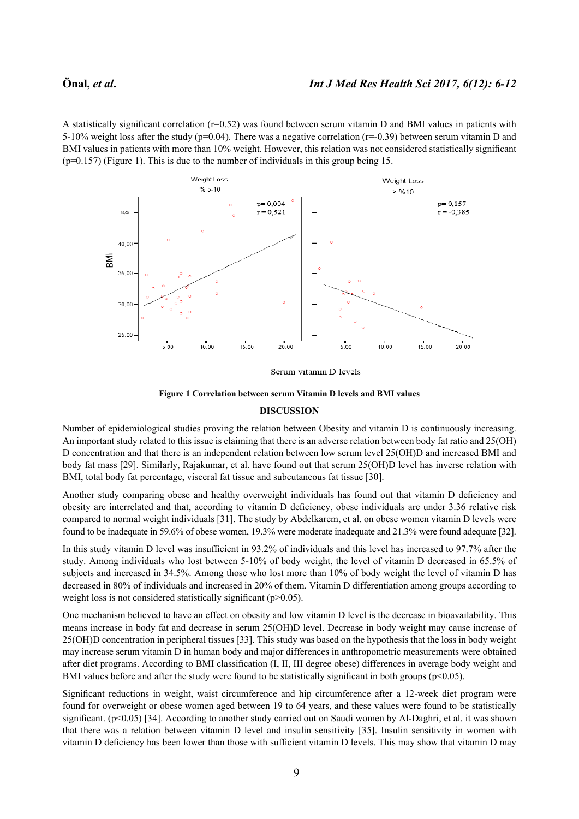A statistically significant correlation (r=0.52) was found between serum vitamin D and BMI values in patients with 5-10% weight loss after the study ( $p=0.04$ ). There was a negative correlation ( $r=-0.39$ ) between serum vitamin D and BMI values in patients with more than 10% weight. However, this relation was not considered statistically significant (p=0.157) (Figure 1). This is due to the number of individuals in this group being 15.



Serum vitamin D levels



#### **DISCUSSION**

Number of epidemiological studies proving the relation between Obesity and vitamin D is continuously increasing. An important study related to this issue is claiming that there is an adverse relation between body fat ratio and 25(OH) D concentration and that there is an independent relation between low serum level 25(OH)D and increased BMI and body fat mass [29]. Similarly, Rajakumar, et al. have found out that serum 25(OH)D level has inverse relation with BMI, total body fat percentage, visceral fat tissue and subcutaneous fat tissue [30].

Another study comparing obese and healthy overweight individuals has found out that vitamin D deficiency and obesity are interrelated and that, according to vitamin D deficiency, obese individuals are under 3.36 relative risk compared to normal weight individuals [31]. The study by Abdelkarem, et al. on obese women vitamin D levels were found to be inadequate in 59.6% of obese women, 19.3% were moderate inadequate and 21.3% were found adequate [32].

In this study vitamin D level was insufficient in 93.2% of individuals and this level has increased to 97.7% after the study. Among individuals who lost between 5-10% of body weight, the level of vitamin D decreased in 65.5% of subjects and increased in 34.5%. Among those who lost more than 10% of body weight the level of vitamin D has decreased in 80% of individuals and increased in 20% of them. Vitamin D differentiation among groups according to weight loss is not considered statistically significant (p>0.05).

One mechanism believed to have an effect on obesity and low vitamin D level is the decrease in bioavailability. This means increase in body fat and decrease in serum 25(OH)D level. Decrease in body weight may cause increase of 25(OH)D concentration in peripheral tissues [33]. This study was based on the hypothesis that the loss in body weight may increase serum vitamin D in human body and major differences in anthropometric measurements were obtained after diet programs. According to BMI classification (I, II, III degree obese) differences in average body weight and BMI values before and after the study were found to be statistically significant in both groups ( $p<0.05$ ).

Significant reductions in weight, waist circumference and hip circumference after a 12-week diet program were found for overweight or obese women aged between 19 to 64 years, and these values were found to be statistically significant. (p<0.05) [34]. According to another study carried out on Saudi women by Al-Daghri, et al. it was shown that there was a relation between vitamin D level and insulin sensitivity [35]. Insulin sensitivity in women with vitamin D deficiency has been lower than those with sufficient vitamin D levels. This may show that vitamin D may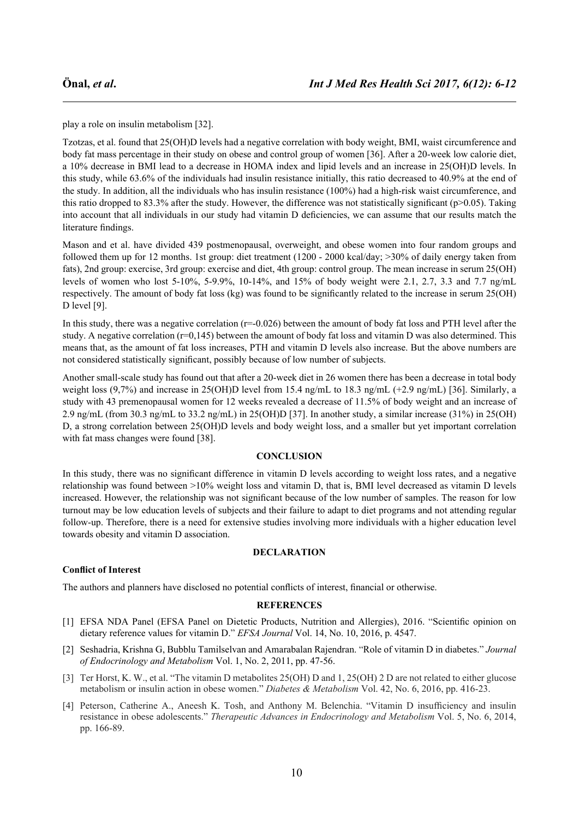play a role on insulin metabolism [32].

Tzotzas, et al. found that 25(OH)D levels had a negative correlation with body weight, BMI, waist circumference and body fat mass percentage in their study on obese and control group of women [36]. After a 20-week low calorie diet, a 10% decrease in BMI lead to a decrease in HOMA index and lipid levels and an increase in 25(OH)D levels. In this study, while 63.6% of the individuals had insulin resistance initially, this ratio decreased to 40.9% at the end of the study. In addition, all the individuals who has insulin resistance (100%) had a high-risk waist circumference, and this ratio dropped to 83.3% after the study. However, the difference was not statistically significant (p>0.05). Taking into account that all individuals in our study had vitamin D deficiencies, we can assume that our results match the literature findings.

Mason and et al. have divided 439 postmenopausal, overweight, and obese women into four random groups and followed them up for 12 months. 1st group: diet treatment (1200 - 2000 kcal/day; >30% of daily energy taken from fats), 2nd group: exercise, 3rd group: exercise and diet, 4th group: control group. The mean increase in serum 25(OH) levels of women who lost 5-10%, 5-9.9%, 10-14%, and 15% of body weight were 2.1, 2.7, 3.3 and 7.7 ng/mL respectively. The amount of body fat loss (kg) was found to be significantly related to the increase in serum 25(OH) D level [9].

In this study, there was a negative correlation  $(r=-0.026)$  between the amount of body fat loss and PTH level after the study. A negative correlation ( $r=0,145$ ) between the amount of body fat loss and vitamin D was also determined. This means that, as the amount of fat loss increases, PTH and vitamin D levels also increase. But the above numbers are not considered statistically significant, possibly because of low number of subjects.

Another small-scale study has found out that after a 20-week diet in 26 women there has been a decrease in total body weight loss (9,7%) and increase in 25(OH)D level from 15.4 ng/mL to 18.3 ng/mL (+2.9 ng/mL) [36]. Similarly, a study with 43 premenopausal women for 12 weeks revealed a decrease of 11.5% of body weight and an increase of 2.9 ng/mL (from 30.3 ng/mL to 33.2 ng/mL) in 25(OH)D [37]. In another study, a similar increase (31%) in 25(OH) D, a strong correlation between 25(OH)D levels and body weight loss, and a smaller but yet important correlation with fat mass changes were found [38].

# **CONCLUSION**

In this study, there was no significant difference in vitamin D levels according to weight loss rates, and a negative relationship was found between >10% weight loss and vitamin D, that is, BMI level decreased as vitamin D levels increased. However, the relationship was not significant because of the low number of samples. The reason for low turnout may be low education levels of subjects and their failure to adapt to diet programs and not attending regular follow-up. Therefore, there is a need for extensive studies involving more individuals with a higher education level towards obesity and vitamin D association.

### **DECLARATION**

# **Conflict of Interest**

The authors and planners have disclosed no potential conflicts of interest, financial or otherwise.

### **REFERENCES**

- [1] EFSA NDA Panel (EFSA Panel on Dietetic Products, Nutrition and Allergies), 2016. "Scientific opinion on dietary reference values for vitamin D." *EFSA Journal* Vol. 14, No. 10, 2016, p. 4547.
- [2] Seshadria, Krishna G, Bubblu Tamilselvan and Amarabalan Rajendran. "Role of vitamin D in diabetes." *Journal of Endocrinology and Metabolism* Vol. 1, No. 2, 2011, pp. 47-56.
- [3] Ter Horst, K. W., et al. "The vitamin D metabolites 25(OH) D and 1, 25(OH) 2 D are not related to either glucose metabolism or insulin action in obese women." *Diabetes & Metabolism* Vol. 42, No. 6, 2016, pp. 416-23.
- [4] Peterson, Catherine A., Aneesh K. Tosh, and Anthony M. Belenchia. "Vitamin D insufficiency and insulin resistance in obese adolescents." *Therapeutic Advances in Endocrinology and Metabolism* Vol. 5, No. 6, 2014, pp. 166-89.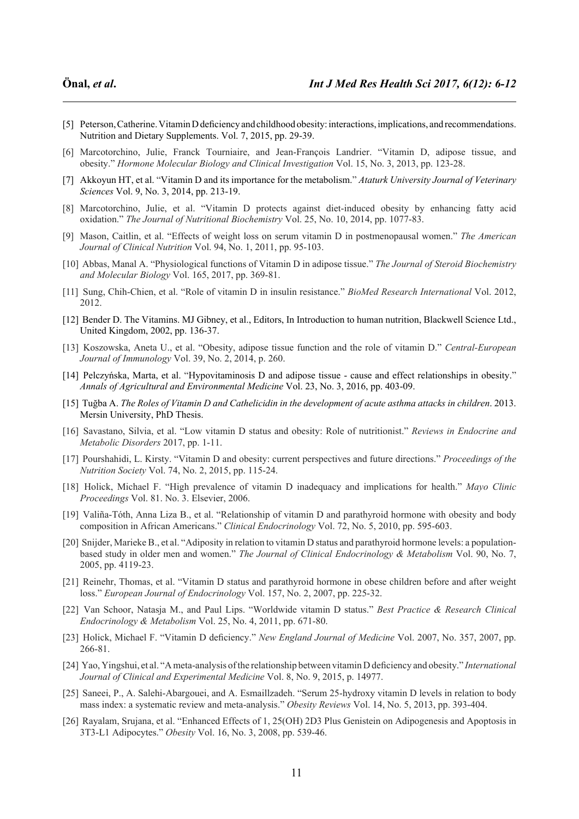- [5] Peterson, Catherine. Vitamin D deficiency and childhood obesity: interactions, implications, and recommendations. Nutrition and Dietary Supplements. Vol. 7, 2015, pp. 29-39.
- [6] Marcotorchino, Julie, Franck Tourniaire, and Jean-François Landrier. "Vitamin D, adipose tissue, and obesity." *Hormone Molecular Biology and Clinical Investigation* Vol. 15, No. 3, 2013, pp. 123-28.
- [7] Akkoyun HT, et al. "Vitamin D and its importance for the metabolism." *Ataturk University Journal of Veterinary Sciences* Vol. 9, No. 3, 2014, pp. 213-19.
- [8] Marcotorchino, Julie, et al. "Vitamin D protects against diet-induced obesity by enhancing fatty acid oxidation." *The Journal of Nutritional Biochemistry* Vol. 25, No. 10, 2014, pp. 1077-83.
- [9] Mason, Caitlin, et al. "Effects of weight loss on serum vitamin D in postmenopausal women." *The American Journal of Clinical Nutrition* Vol. 94, No. 1, 2011, pp. 95-103.
- [10] Abbas, Manal A. "Physiological functions of Vitamin D in adipose tissue." *The Journal of Steroid Biochemistry and Molecular Biology* Vol. 165, 2017, pp. 369-81.
- [11] Sung, Chih-Chien, et al. "Role of vitamin D in insulin resistance." *BioMed Research International* Vol. 2012, 2012.
- [12] Bender D. The Vitamins. MJ Gibney, et al., Editors, In Introduction to human nutrition, Blackwell Science Ltd., United Kingdom, 2002, pp. 136-37.
- [13] Koszowska, Aneta U., et al. "Obesity, adipose tissue function and the role of vitamin D." *Central-European Journal of Immunology* Vol. 39, No. 2, 2014, p. 260.
- [14] Pelczyńska, Marta, et al. "Hypovitaminosis D and adipose tissue cause and effect relationships in obesity." *Annals of Agricultural and Environmental Medicine* Vol. 23, No. 3, 2016, pp. 403-09.
- [15] Tuğba A. *The Roles of Vitamin D and Cathelicidin in the development of acute asthma attacks in children*. 2013. Mersin University, PhD Thesis.
- [16] Savastano, Silvia, et al. "Low vitamin D status and obesity: Role of nutritionist." *Reviews in Endocrine and Metabolic Disorders* 2017, pp. 1-11.
- [17] Pourshahidi, L. Kirsty. "Vitamin D and obesity: current perspectives and future directions." *Proceedings of the Nutrition Society* Vol. 74, No. 2, 2015, pp. 115-24.
- [18] Holick, Michael F. "High prevalence of vitamin D inadequacy and implications for health." *Mayo Clinic Proceedings* Vol. 81. No. 3. Elsevier, 2006.
- [19] Valiña-Tóth, Anna Liza B., et al. "Relationship of vitamin D and parathyroid hormone with obesity and body composition in African Americans." *Clinical Endocrinology* Vol. 72, No. 5, 2010, pp. 595-603.
- [20] Snijder, Marieke B., et al. "Adiposity in relation to vitamin D status and parathyroid hormone levels: a populationbased study in older men and women." *The Journal of Clinical Endocrinology & Metabolism* Vol. 90, No. 7, 2005, pp. 4119-23.
- [21] Reinehr, Thomas, et al. "Vitamin D status and parathyroid hormone in obese children before and after weight loss." *European Journal of Endocrinology* Vol. 157, No. 2, 2007, pp. 225-32.
- [22] Van Schoor, Natasja M., and Paul Lips. "Worldwide vitamin D status." *Best Practice & Research Clinical Endocrinology & Metabolism* Vol. 25, No. 4, 2011, pp. 671-80.
- [23] Holick, Michael F. "Vitamin D deficiency." *New England Journal of Medicine* Vol. 2007, No. 357, 2007, pp. 266-81.
- [24] Yao, Yingshui, et al. "A meta-analysis of the relationship between vitamin D deficiency and obesity." *International Journal of Clinical and Experimental Medicine* Vol. 8, No. 9, 2015, p. 14977.
- [25] Saneei, P., A. Salehi-Abargouei, and A. Esmaillzadeh. "Serum 25-hydroxy vitamin D levels in relation to body mass index: a systematic review and meta-analysis." *Obesity Reviews* Vol. 14, No. 5, 2013, pp. 393-404.
- [26] Rayalam, Srujana, et al. "Enhanced Effects of 1, 25(OH) 2D3 Plus Genistein on Adipogenesis and Apoptosis in 3T3-L1 Adipocytes." *Obesity* Vol. 16, No. 3, 2008, pp. 539-46.